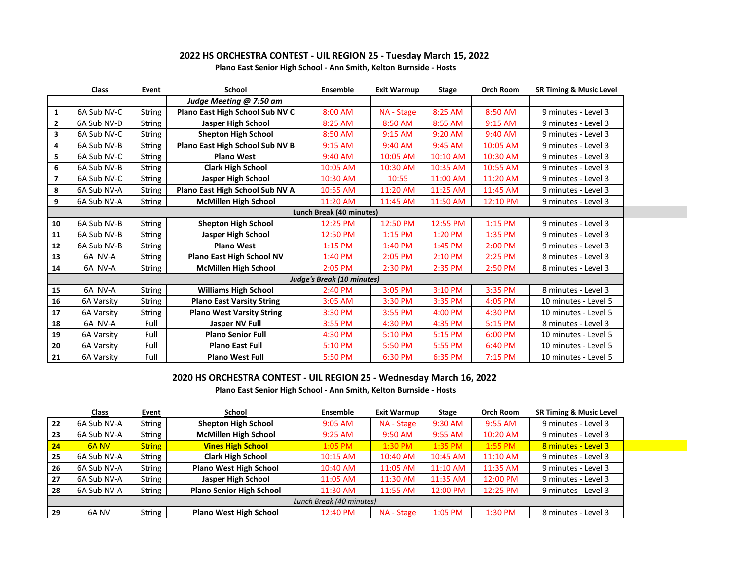## **2022 HS ORCHESTRA CONTEST - UIL REGION 25 - Tuesday March 15, 2022**

|                         | Class       | Event  | <b>School</b>                    | Ensemble                          | <b>Exit Warmup</b> | <b>Stage</b> | Orch Room | <b>SR Timing &amp; Music Level</b> |
|-------------------------|-------------|--------|----------------------------------|-----------------------------------|--------------------|--------------|-----------|------------------------------------|
|                         |             |        | Judge Meeting @ 7:50 am          |                                   |                    |              |           |                                    |
| $\mathbf{1}$            | 6A Sub NV-C | String | Plano East High School Sub NV C  | 8:00 AM                           | NA - Stage         | 8:25 AM      | 8:50 AM   | 9 minutes - Level 3                |
| $\mathbf{2}$            | 6A Sub NV-D | String | Jasper High School               | 8:25 AM                           | 8:50 AM            | 8:55 AM      | 9:15 AM   | 9 minutes - Level 3                |
| 3                       | 6A Sub NV-C | String | <b>Shepton High School</b>       | 8:50 AM                           | 9:15 AM            | 9:20 AM      | 9:40 AM   | 9 minutes - Level 3                |
| 4                       | 6A Sub NV-B | String | Plano East High School Sub NV B  | 9:15 AM                           | 9:40 AM            | 9:45 AM      | 10:05 AM  | 9 minutes - Level 3                |
| 5                       | 6A Sub NV-C | String | <b>Plano West</b>                | 9:40 AM                           | 10:05 AM           | 10:10 AM     | 10:30 AM  | 9 minutes - Level 3                |
| 6                       | 6A Sub NV-B | String | <b>Clark High School</b>         | 10:05 AM                          | 10:30 AM           | 10:35 AM     | 10:55 AM  | 9 minutes - Level 3                |
| $\overline{\mathbf{z}}$ | 6A Sub NV-C | String | Jasper High School               | 10:30 AM                          | 10:55              | 11:00 AM     | 11:20 AM  | 9 minutes - Level 3                |
| 8                       | 6A Sub NV-A | String | Plano East High School Sub NV A  | 10:55 AM                          | 11:20 AM           | 11:25 AM     | 11:45 AM  | 9 minutes - Level 3                |
| 9                       | 6A Sub NV-A | String | <b>McMillen High School</b>      | 11:20 AM                          | 11:45 AM           | 11:50 AM     | 12:10 PM  | 9 minutes - Level 3                |
|                         |             |        |                                  | Lunch Break (40 minutes)          |                    |              |           |                                    |
| 10                      | 6A Sub NV-B | String | <b>Shepton High School</b>       | 12:25 PM                          | 12:50 PM           | 12:55 PM     | 1:15 PM   | 9 minutes - Level 3                |
| 11                      | 6A Sub NV-B | String | Jasper High School               | 12:50 PM                          | 1:15 PM            | 1:20 PM      | 1:35 PM   | 9 minutes - Level 3                |
| ${\bf 12}$              | 6A Sub NV-B | String | <b>Plano West</b>                | $1:15$ PM                         | 1:40 PM            | 1:45 PM      | 2:00 PM   | 9 minutes - Level 3                |
| 13                      | 6A NV-A     | String | <b>Plano East High School NV</b> | 1:40 PM                           | 2:05 PM            | 2:10 PM      | 2:25 PM   | 8 minutes - Level 3                |
| 14                      | 6A NV-A     | String | <b>McMillen High School</b>      | 2:05 PM                           | 2:30 PM            | 2:35 PM      | 2:50 PM   | 8 minutes - Level 3                |
|                         |             |        |                                  | <b>Judge's Break (10 minutes)</b> |                    |              |           |                                    |
| 15                      | 6A NV-A     | String | <b>Williams High School</b>      | 2:40 PM                           | 3:05 PM            | 3:10 PM      | 3:35 PM   | 8 minutes - Level 3                |
| 16                      | 6A Varsity  | String | <b>Plano East Varsity String</b> | 3:05 AM                           | 3:30 PM            | 3:35 PM      | 4:05 PM   | 10 minutes - Level 5               |
| 17                      | 6A Varsity  | String | <b>Plano West Varsity String</b> | 3:30 PM                           | 3:55 PM            | 4:00 PM      | 4:30 PM   | 10 minutes - Level 5               |
| 18                      | 6A NV-A     | Full   | Jasper NV Full                   | 3:55 PM                           | 4:30 PM            | 4:35 PM      | 5:15 PM   | 8 minutes - Level 3                |
| 19                      | 6A Varsity  | Full   | <b>Plano Senior Full</b>         | 4:30 PM                           | 5:10 PM            | 5:15 PM      | 6:00 PM   | 10 minutes - Level 5               |
| 20                      | 6A Varsity  | Full   | <b>Plano East Full</b>           | 5:10 PM                           | 5:50 PM            | 5:55 PM      | 6:40 PM   | 10 minutes - Level 5               |
| 21                      | 6A Varsity  | Full   | <b>Plano West Full</b>           | 5:50 PM                           | 6:30 PM            | 6:35 PM      | 7:15 PM   | 10 minutes - Level 5               |

## **Plano East Senior High School - Ann Smith, Kelton Burnside - Hosts**

## **2020 HS ORCHESTRA CONTEST - UIL REGION 25 - Wednesday March 16, 2022**

**Plano East Senior High School - Ann Smith, Kelton Burnside - Hosts**

|                          | <b>Class</b> | <b>Event</b>  | School                          | Ensemble  | Exit Warmup | <b>Stage</b> | <b>Orch Room</b> | <b>SR Timing &amp; Music Level</b> |
|--------------------------|--------------|---------------|---------------------------------|-----------|-------------|--------------|------------------|------------------------------------|
| 22                       | 6A Sub NV-A  | String        | <b>Shepton High School</b>      | 9:05 AM   | NA - Stage  | 9:30 AM      | 9:55 AM          | 9 minutes - Level 3                |
| 23                       | 6A Sub NV-A  | String        | <b>McMillen High School</b>     | $9:25$ AM | 9:50 AM     | 9:55 AM      | 10:20 AM         | 9 minutes - Level 3                |
| 24                       | 6A NV        | <b>String</b> | <b>Vines High School</b>        | 1:05 PM   | 1:30 PM     | 1:35 PM      | $1:55$ PM        | 8 minutes - Level 3                |
| 25                       | 6A Sub NV-A  | String        | <b>Clark High School</b>        | 10:15 AM  | 10:40 AM    | 10:45 AM     | 11:10 AM         | 9 minutes - Level 3                |
| 26                       | 6A Sub NV-A  | <b>String</b> | <b>Plano West High School</b>   | 10:40 AM  | 11:05 AM    | 11:10 AM     | 11:35 AM         | 9 minutes - Level 3                |
| 27                       | 6A Sub NV-A  | <b>String</b> | Jasper High School              | 11:05 AM  | 11:30 AM    | 11:35 AM     | 12:00 PM         | 9 minutes - Level 3                |
| 28                       | 6A Sub NV-A  | String        | <b>Plano Senior High School</b> | 11:30 AM  | 11:55 AM    | 12:00 PM     | 12:25 PM         | 9 minutes - Level 3                |
| Lunch Break (40 minutes) |              |               |                                 |           |             |              |                  |                                    |
| 29                       | 6A NV        | String        | <b>Plano West High School</b>   | 12:40 PM  | NA - Stage  | 1:05 PM      | 1:30 PM          | 8 minutes - Level 3                |